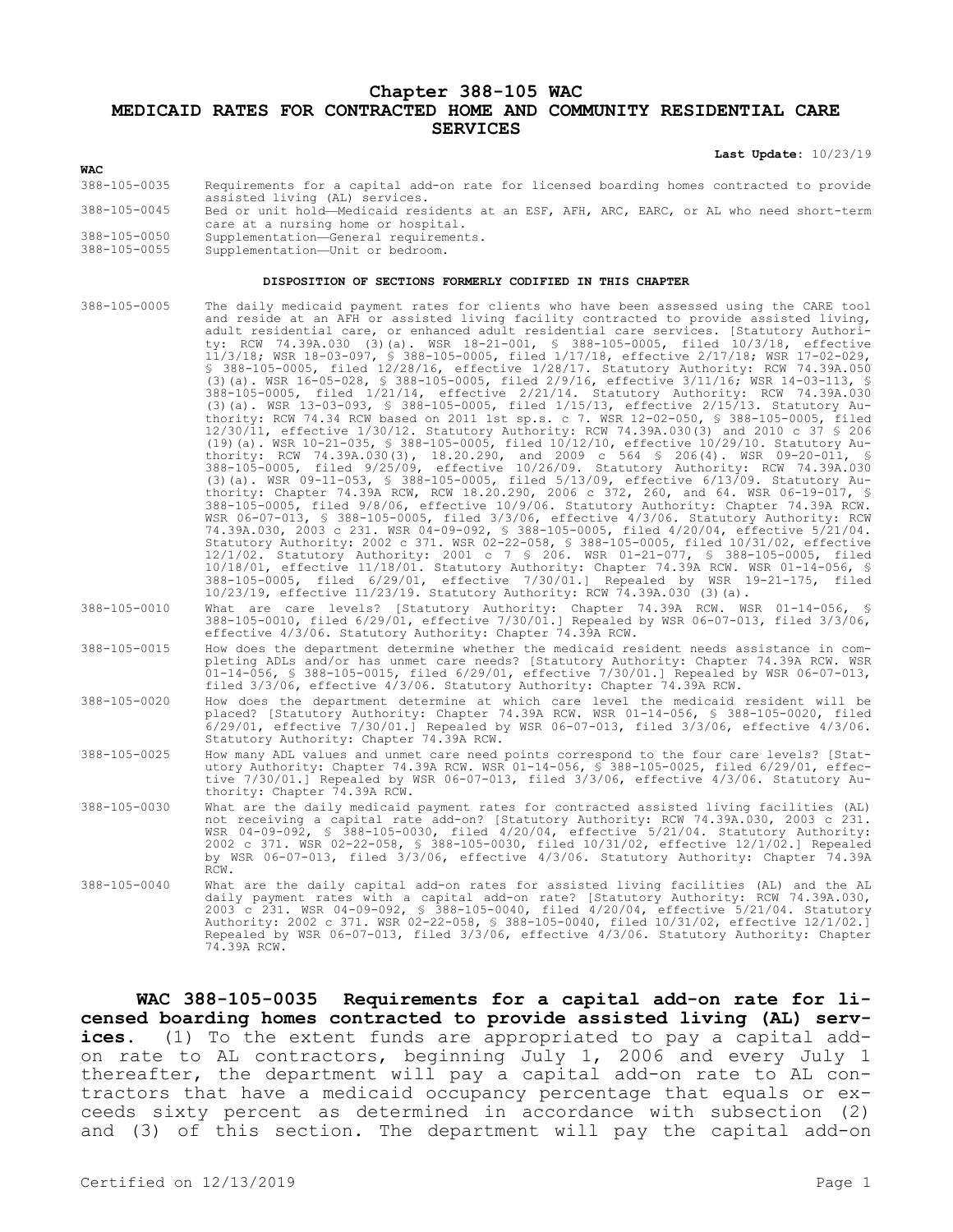## **Chapter 388-105 WAC MEDICAID RATES FOR CONTRACTED HOME AND COMMUNITY RESIDENTIAL CARE SERVICES**

**Last Update:** 10/23/19

## **WAC**

- 388-105-0035 Requirements for a capital add-on rate for licensed boarding homes contracted to provide assisted living (AL) services.
- 388-105-0045 Bed or unit hold—Medicaid residents at an ESF, AFH, ARC, EARC, or AL who need short-term care at a nursing home or hospital.
- 388-105-0050 Supplementation—General requirements.
- Supplementation-Unit or bedroom.

## **DISPOSITION OF SECTIONS FORMERLY CODIFIED IN THIS CHAPTER**

388-105-0005 The daily medicaid payment rates for clients who have been assessed using the CARE tool and reside at an AFH or assisted living facility contracted to provide assisted living, adult residential care, or enhanced adult residential care services. [Statutory Authority: RCW 74.39A.030 (3)(a). WSR 18-21-001, § 388-105-0005, filed 10/3/18, effective 11/3/18; WSR 18-03-097, § 388-105-0005, filed 1/17/18, effective 2/17/18; WSR 17-02-029, § 388-105-0005, filed 12/28/16, effective 1/28/17. Statutory Authority: RCW 74.39A.050 (3)(a). WSR 16-05-028, § 388-105-0005, filed 2/9/16, effective 3/11/16; WSR 14-03-113, § 388-105-0005, filed 1/21/14, effective 2/21/14. Statutory Authority: RCW 74.39A.030 (3)(a). WSR 13-03-093, § 388-105-0005, filed 1/15/13, effective 2/15/13. Statutory Authority: RCW 74.34 RCW based on 2011 1st sp.s. c 7. WSR 12-02-050, § 388-105-0005, filed 12/30/11, effective 1/30/12. Statutory Authority: RCW 74.39A.030(3) and 2010 c 37 § 206 (19)(a). WSR 10-21-035, § 388-105-0005, filed 10/12/10, effective 10/29/10. Statutory Authority: RCW 74.39A.030(3), 18.20.290, and 2009 c 564 § 206(4). WSR 09-20-011, § 388-105-0005, filed 9/25/09, effective 10/26/09. Statutory Authority: RCW 74.39A.030 (3)(a). WSR 09-11-053, § 388-105-0005, filed 5/13/09, effective 6/13/09. Statutory Authority: Chapter 74.39A RCW, RCW 18.20.290, 2006 c 372, 260, and 64. WSR 06-19-017, § 388-105-0005, filed 9/8/06, effective 10/9/06. Statutory Authority: Chapter 74.39A RCW. WSR 06-07-013, § 388-105-0005, filed 3/3/06, effective 4/3/06. Statutory Authority: RCW 74.39A.030, 2003 c 231. WSR 04-09-092, § 388-105-0005, filed 4/20/04, effective 5/21/04. Statutory Authority: 2002 c 371. WSR 02-22-058, § 388-105-0005, filed 10/31/02, effective 12/1/02. Statutory Authority: 2001 c 7 § 206. WSR 01-21-077, § 388-105-0005, filed 10/18/01, effective 11/18/01. Statutory Authority: Chapter 74.39A RCW. WSR 01-14-056, § 388-105-0005, filed 6/29/01, effective 7/30/01.] Repealed by WSR 19-21-175, filed 10/23/19, effective 11/23/19. Statutory Authority: RCW 74.39A.030 (3)(a).

388-105-0010 What are care levels? [Statutory Authority: Chapter 74.39A RCW. WSR 01-14-056, § 388-105-0010, filed 6/29/01, effective 7/30/01.] Repealed by WSR 06-07-013, filed 3/3/06, effective 4/3/06. Statutory Authority: Chapter 74.39A RCW.

388-105-0015 How does the department determine whether the medicaid resident needs assistance in completing ADLs and/or has unmet care needs? [Statutory Authority: Chapter 74.39A RCW. WSR 01-14-056, § 388-105-0015, filed 6/29/01, effective 7/30/01.] Repealed by WSR 06-07-013, filed 3/3/06, effective 4/3/06. Statutory Authority: Chapter 74.39A RCW.

388-105-0020 How does the department determine at which care level the medicaid resident will be placed? [Statutory Authority: Chapter 74.39A RCW. WSR 01-14-056, § 388-105-0020, filed 6/29/01, effective 7/30/01.] Repealed by WSR 06-07-013, filed 3/3/06, effective 4/3/06. Statutory Authority: Chapter 74.39A RCW.

388-105-0025 How many ADL values and unmet care need points correspond to the four care levels? [Statutory Authority: Chapter 74.39A RCW. WSR 01-14-056, § 388-105-0025, filed 6/29/01, effective 7/30/01.] Repealed by WSR 06-07-013, filed 3/3/06, effective 4/3/06. Statutory Authority: Chapter 74.39A RCW.

- 388-105-0030 What are the daily medicaid payment rates for contracted assisted living facilities (AL) not receiving a capital rate add-on? [Statutory Authority: RCW 74.39A.030, 2003 c 231. WSR 04-09-092, § 388-105-0030, filed 4/20/04, effective 5/21/04. Statutory Authority: 2002 c 371. WSR 02-22-058, § 388-105-0030, filed 10/31/02, effective 12/1/02.] Repealed by WSR 06-07-013, filed 3/3/06, effective 4/3/06. Statutory Authority: Chapter 74.39A RCW.
- 388-105-0040 What are the daily capital add-on rates for assisted living facilities (AL) and the AL daily payment rates with a capital add-on rate? [Statutory Authority: RCW 74.39A.030, 2003 c 231. WSR 04-09-092, § 388-105-0040, filed 4/20/04, effective 5/21/04. Statutory Authority: 2002 c 371. WSR 02-22-058, § 388-105-0040, filed 10/31/02, effective 12/1/02.] Repealed by WSR 06-07-013, filed 3/3/06, effective 4/3/06. Statutory Authority: Chapter 74.39A RCW.

**WAC 388-105-0035 Requirements for a capital add-on rate for licensed boarding homes contracted to provide assisted living (AL) services.** (1) To the extent funds are appropriated to pay a capital addon rate to AL contractors, beginning July 1, 2006 and every July 1 thereafter, the department will pay a capital add-on rate to AL contractors that have a medicaid occupancy percentage that equals or exceeds sixty percent as determined in accordance with subsection (2) and (3) of this section. The department will pay the capital add-on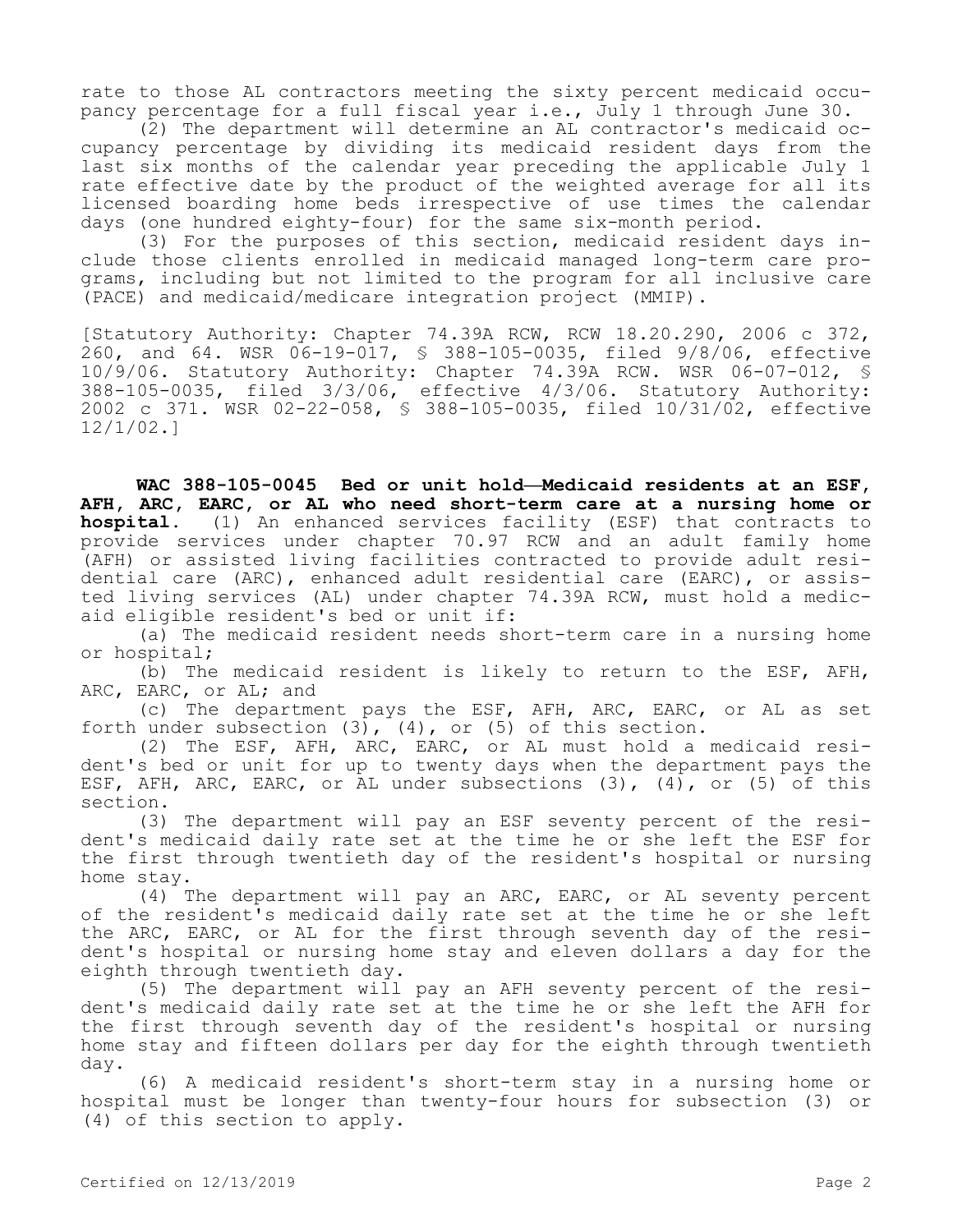rate to those AL contractors meeting the sixty percent medicaid occupancy percentage for a full fiscal year i.e., July 1 through June 30.

(2) The department will determine an AL contractor's medicaid occupancy percentage by dividing its medicaid resident days from the last six months of the calendar year preceding the applicable July 1 rate effective date by the product of the weighted average for all its licensed boarding home beds irrespective of use times the calendar days (one hundred eighty-four) for the same six-month period.

(3) For the purposes of this section, medicaid resident days include those clients enrolled in medicaid managed long-term care programs, including but not limited to the program for all inclusive care (PACE) and medicaid/medicare integration project (MMIP).

[Statutory Authority: Chapter 74.39A RCW, RCW 18.20.290, 2006 c 372, 260, and 64. WSR 06-19-017, § 388-105-0035, filed 9/8/06, effective 10/9/06. Statutory Authority: Chapter 74.39A RCW. WSR 06-07-012, § 388-105-0035, filed 3/3/06, effective 4/3/06. Statutory Authority: 2002 c 371. WSR 02-22-058, § 388-105-0035, filed 10/31/02, effective 12/1/02.]

**WAC 388-105-0045 Bed or unit hold—Medicaid residents at an ESF, AFH, ARC, EARC, or AL who need short-term care at a nursing home or hospital.** (1) An enhanced services facility (ESF) that contracts to provide services under chapter 70.97 RCW and an adult family home (AFH) or assisted living facilities contracted to provide adult residential care (ARC), enhanced adult residential care (EARC), or assisted living services (AL) under chapter 74.39A RCW, must hold a medicaid eligible resident's bed or unit if:

(a) The medicaid resident needs short-term care in a nursing home or hospital;

(b) The medicaid resident is likely to return to the ESF, AFH, ARC, EARC, or AL; and

(c) The department pays the ESF, AFH, ARC, EARC, or AL as set forth under subsection (3), (4), or (5) of this section.

(2) The ESF, AFH, ARC, EARC, or AL must hold a medicaid resident's bed or unit for up to twenty days when the department pays the ESF, AFH, ARC, EARC, or AL under subsections (3), (4), or (5) of this section.

(3) The department will pay an ESF seventy percent of the resident's medicaid daily rate set at the time he or she left the ESF for the first through twentieth day of the resident's hospital or nursing home stay.

(4) The department will pay an ARC, EARC, or AL seventy percent of the resident's medicaid daily rate set at the time he or she left the ARC, EARC, or AL for the first through seventh day of the resident's hospital or nursing home stay and eleven dollars a day for the eighth through twentieth day.

(5) The department will pay an AFH seventy percent of the resident's medicaid daily rate set at the time he or she left the AFH for the first through seventh day of the resident's hospital or nursing home stay and fifteen dollars per day for the eighth through twentieth day.

(6) A medicaid resident's short-term stay in a nursing home or hospital must be longer than twenty-four hours for subsection (3) or (4) of this section to apply.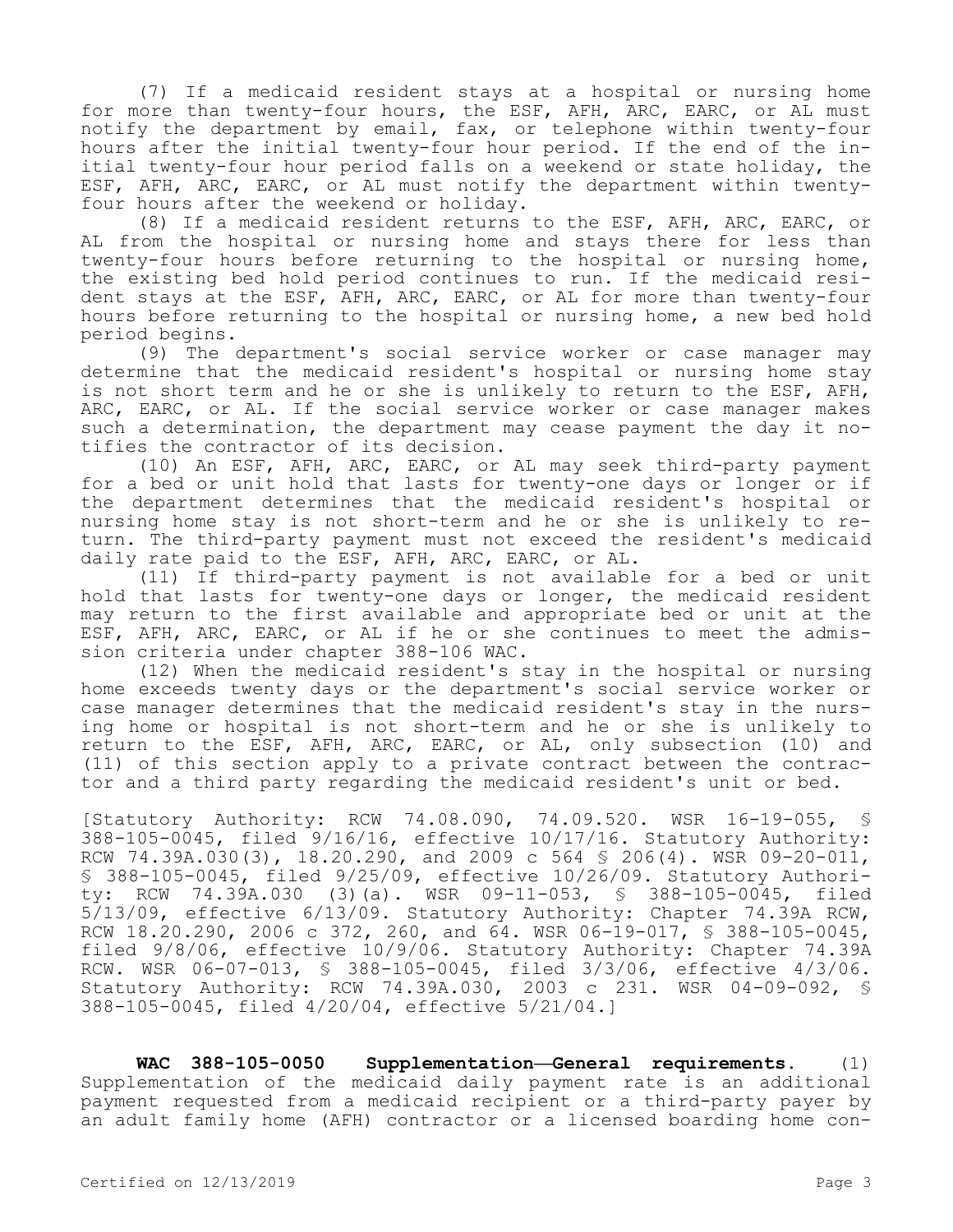(7) If a medicaid resident stays at a hospital or nursing home for more than twenty-four hours, the ESF, AFH, ARC, EARC, or AL must notify the department by email, fax, or telephone within twenty-four hours after the initial twenty-four hour period. If the end of the initial twenty-four hour period falls on a weekend or state holiday, the ESF, AFH, ARC, EARC, or AL must notify the department within twentyfour hours after the weekend or holiday.

(8) If a medicaid resident returns to the ESF, AFH, ARC, EARC, or AL from the hospital or nursing home and stays there for less than twenty-four hours before returning to the hospital or nursing home, the existing bed hold period continues to run. If the medicaid resident stays at the ESF, AFH, ARC, EARC, or AL for more than twenty-four hours before returning to the hospital or nursing home, a new bed hold period begins.

(9) The department's social service worker or case manager may determine that the medicaid resident's hospital or nursing home stay is not short term and he or she is unlikely to return to the ESF, AFH, ARC, EARC, or AL. If the social service worker or case manager makes such a determination, the department may cease payment the day it notifies the contractor of its decision.

(10) An ESF, AFH, ARC, EARC, or AL may seek third-party payment for a bed or unit hold that lasts for twenty-one days or longer or if the department determines that the medicaid resident's hospital or nursing home stay is not short-term and he or she is unlikely to return. The third-party payment must not exceed the resident's medicaid daily rate paid to the ESF, AFH, ARC, EARC, or AL.

(11) If third-party payment is not available for a bed or unit hold that lasts for twenty-one days or longer, the medicaid resident may return to the first available and appropriate bed or unit at the ESF, AFH, ARC, EARC, or AL if he or she continues to meet the admission criteria under chapter 388-106 WAC.

(12) When the medicaid resident's stay in the hospital or nursing home exceeds twenty days or the department's social service worker or case manager determines that the medicaid resident's stay in the nursing home or hospital is not short-term and he or she is unlikely to return to the ESF, AFH, ARC, EARC, or AL, only subsection (10) and (11) of this section apply to a private contract between the contractor and a third party regarding the medicaid resident's unit or bed.

[Statutory Authority: RCW 74.08.090, 74.09.520. WSR 16-19-055, § 388-105-0045, filed 9/16/16, effective 10/17/16. Statutory Authority: RCW 74.39A.030(3), 18.20.290, and 2009 c 564 § 206(4). WSR 09-20-011, § 388-105-0045, filed 9/25/09, effective 10/26/09. Statutory Authority: RCW 74.39A.030 (3)(a). WSR 09-11-053, § 388-105-0045, filed 5/13/09, effective 6/13/09. Statutory Authority: Chapter 74.39A RCW, RCW 18.20.290, 2006 c 372, 260, and 64. WSR 06-19-017, § 388-105-0045, filed 9/8/06, effective 10/9/06. Statutory Authority: Chapter 74.39A RCW. WSR 06-07-013, § 388-105-0045, filed 3/3/06, effective 4/3/06. Statutory Authority: RCW 74.39A.030, 2003 c 231. WSR 04-09-092, § 388-105-0045, filed 4/20/04, effective 5/21/04.]

**WAC 388-105-0050 Supplementation—General requirements.** (1) Supplementation of the medicaid daily payment rate is an additional payment requested from a medicaid recipient or a third-party payer by an adult family home (AFH) contractor or a licensed boarding home con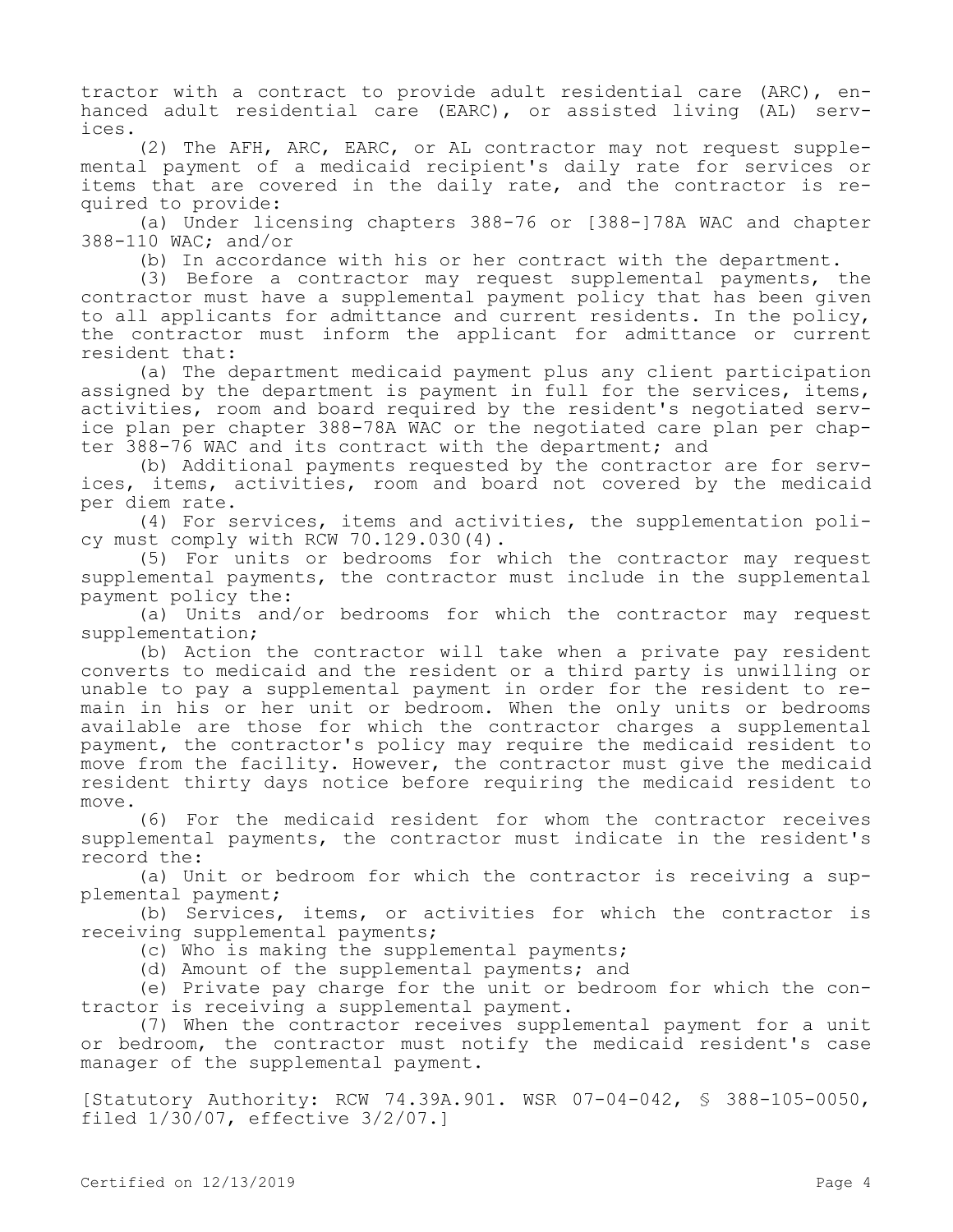tractor with a contract to provide adult residential care (ARC), enhanced adult residential care (EARC), or assisted living (AL) services.

(2) The AFH, ARC, EARC, or AL contractor may not request supplemental payment of a medicaid recipient's daily rate for services or items that are covered in the daily rate, and the contractor is required to provide:

(a) Under licensing chapters 388-76 or [388-]78A WAC and chapter 388-110 WAC; and/or

(b) In accordance with his or her contract with the department.

(3) Before a contractor may request supplemental payments, the contractor must have a supplemental payment policy that has been given to all applicants for admittance and current residents. In the policy, the contractor must inform the applicant for admittance or current resident that:

(a) The department medicaid payment plus any client participation assigned by the department is payment in full for the services, items, activities, room and board required by the resident's negotiated service plan per chapter 388-78A WAC or the negotiated care plan per chapter 388-76 WAC and its contract with the department; and

(b) Additional payments requested by the contractor are for services, items, activities, room and board not covered by the medicaid per diem rate.

(4) For services, items and activities, the supplementation policy must comply with RCW 70.129.030(4).

(5) For units or bedrooms for which the contractor may request supplemental payments, the contractor must include in the supplemental payment policy the:

(a) Units and/or bedrooms for which the contractor may request supplementation;

(b) Action the contractor will take when a private pay resident converts to medicaid and the resident or a third party is unwilling or unable to pay a supplemental payment in order for the resident to remain in his or her unit or bedroom. When the only units or bedrooms available are those for which the contractor charges a supplemental payment, the contractor's policy may require the medicaid resident to move from the facility. However, the contractor must give the medicaid resident thirty days notice before requiring the medicaid resident to move.

(6) For the medicaid resident for whom the contractor receives supplemental payments, the contractor must indicate in the resident's record the:

(a) Unit or bedroom for which the contractor is receiving a supplemental payment;

(b) Services, items, or activities for which the contractor is receiving supplemental payments;

(c) Who is making the supplemental payments;

(d) Amount of the supplemental payments; and

(e) Private pay charge for the unit or bedroom for which the contractor is receiving a supplemental payment.

(7) When the contractor receives supplemental payment for a unit or bedroom, the contractor must notify the medicaid resident's case manager of the supplemental payment.

[Statutory Authority: RCW 74.39A.901. WSR 07-04-042, § 388-105-0050, filed 1/30/07, effective 3/2/07.]